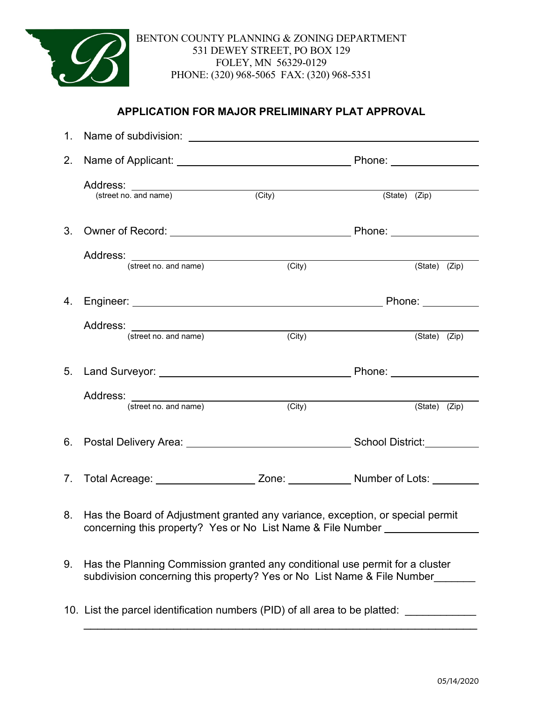

### **APPLICATION FOR MAJOR PRELIMINARY PLAT APPROVAL**

| 2. | Name of Applicant: ___________________________________                                                                                                        |        | Phone: ________________         |  |  |  |  |
|----|---------------------------------------------------------------------------------------------------------------------------------------------------------------|--------|---------------------------------|--|--|--|--|
|    | Address: <u>Canadiana (street no. and name)</u>                                                                                                               | (City) | $(\text{State})$ $(\text{Zip})$ |  |  |  |  |
|    |                                                                                                                                                               |        |                                 |  |  |  |  |
|    | Address:<br>(street no. and name) (City)                                                                                                                      |        | (State) (Zip)                   |  |  |  |  |
|    |                                                                                                                                                               |        |                                 |  |  |  |  |
|    | (street no. and name)                                                                                                                                         | (City) | (State) (Zip)                   |  |  |  |  |
|    |                                                                                                                                                               |        |                                 |  |  |  |  |
|    | Address:<br>(street no. and name) (City                                                                                                                       | (City) | (State) (Zip)                   |  |  |  |  |
|    |                                                                                                                                                               |        |                                 |  |  |  |  |
|    | 7. Total Acreage: ______________________ Zone: _____________ Number of Lots: ________                                                                         |        |                                 |  |  |  |  |
|    | 8. Has the Board of Adjustment granted any variance, exception, or special permit<br>concerning this property? Yes or No List Name & File Number ____________ |        |                                 |  |  |  |  |
| 9. | Has the Planning Commission granted any conditional use permit for a cluster<br>subdivision concerning this property? Yes or No List Name & File Number       |        |                                 |  |  |  |  |
|    | 10. List the parcel identification numbers (PID) of all area to be platted:                                                                                   |        |                                 |  |  |  |  |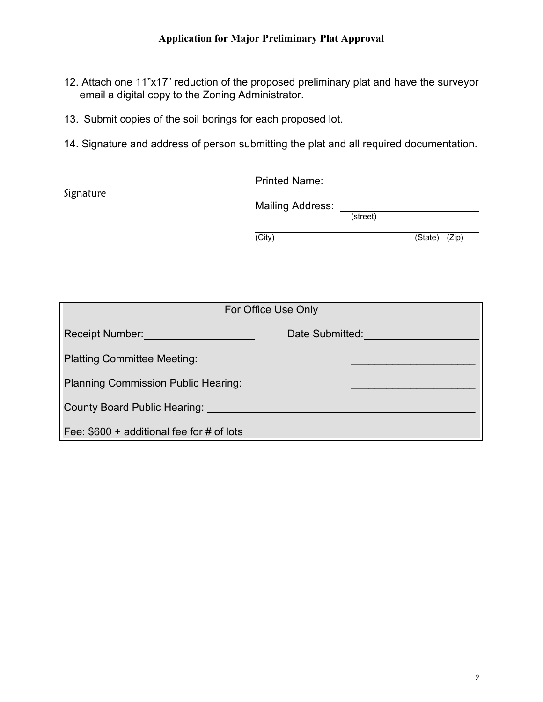- 12. Attach one 11"x17" reduction of the proposed preliminary plat and have the surveyor email a digital copy to the Zoning Administrator.
- 13. Submit copies of the soil borings for each proposed lot.
- 14. Signature and address of person submitting the plat and all required documentation.

|                                                                         |        | <b>Printed Name:</b> Printed Name:                             |  |               |  |  |  |
|-------------------------------------------------------------------------|--------|----------------------------------------------------------------|--|---------------|--|--|--|
| Signature                                                               |        | Mailing Address: _____________<br>$\overline{\text{(street)}}$ |  |               |  |  |  |
|                                                                         | (City) |                                                                |  | (State) (Zip) |  |  |  |
|                                                                         |        |                                                                |  |               |  |  |  |
|                                                                         |        |                                                                |  |               |  |  |  |
| For Office Use Only                                                     |        |                                                                |  |               |  |  |  |
| Receipt Number:                                                         |        | Date Submitted:                                                |  |               |  |  |  |
| <b>Platting Committee Meeting:</b>                                      |        |                                                                |  |               |  |  |  |
| Planning Commission Public Hearing:                                     |        |                                                                |  |               |  |  |  |
| County Board Public Hearing: University of County Board Public Hearing: |        |                                                                |  |               |  |  |  |
| Fee: $$600 +$ additional fee for # of lots                              |        |                                                                |  |               |  |  |  |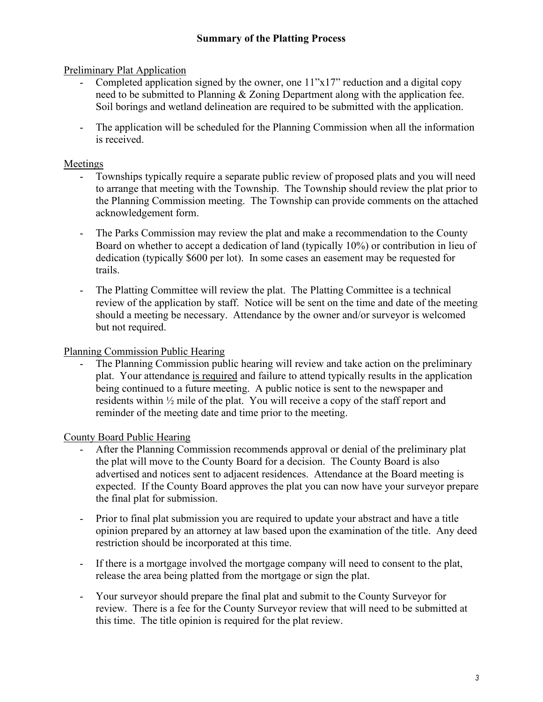#### Preliminary Plat Application

- Completed application signed by the owner, one  $11"x17"$  reduction and a digital copy need to be submitted to Planning & Zoning Department along with the application fee. Soil borings and wetland delineation are required to be submitted with the application.
- The application will be scheduled for the Planning Commission when all the information is received.

#### Meetings

- Townships typically require a separate public review of proposed plats and you will need to arrange that meeting with the Township. The Township should review the plat prior to the Planning Commission meeting. The Township can provide comments on the attached acknowledgement form.
- The Parks Commission may review the plat and make a recommendation to the County Board on whether to accept a dedication of land (typically 10%) or contribution in lieu of dedication (typically \$600 per lot). In some cases an easement may be requested for trails.
- The Platting Committee will review the plat. The Platting Committee is a technical review of the application by staff. Notice will be sent on the time and date of the meeting should a meeting be necessary. Attendance by the owner and/or surveyor is welcomed but not required.

#### Planning Commission Public Hearing

The Planning Commission public hearing will review and take action on the preliminary plat. Your attendance is required and failure to attend typically results in the application being continued to a future meeting. A public notice is sent to the newspaper and residents within ½ mile of the plat. You will receive a copy of the staff report and reminder of the meeting date and time prior to the meeting.

County Board Public Hearing

- After the Planning Commission recommends approval or denial of the preliminary plat the plat will move to the County Board for a decision. The County Board is also advertised and notices sent to adjacent residences. Attendance at the Board meeting is expected. If the County Board approves the plat you can now have your surveyor prepare the final plat for submission.
- Prior to final plat submission you are required to update your abstract and have a title opinion prepared by an attorney at law based upon the examination of the title. Any deed restriction should be incorporated at this time.
- If there is a mortgage involved the mortgage company will need to consent to the plat, release the area being platted from the mortgage or sign the plat.
- Your surveyor should prepare the final plat and submit to the County Surveyor for review. There is a fee for the County Surveyor review that will need to be submitted at this time. The title opinion is required for the plat review.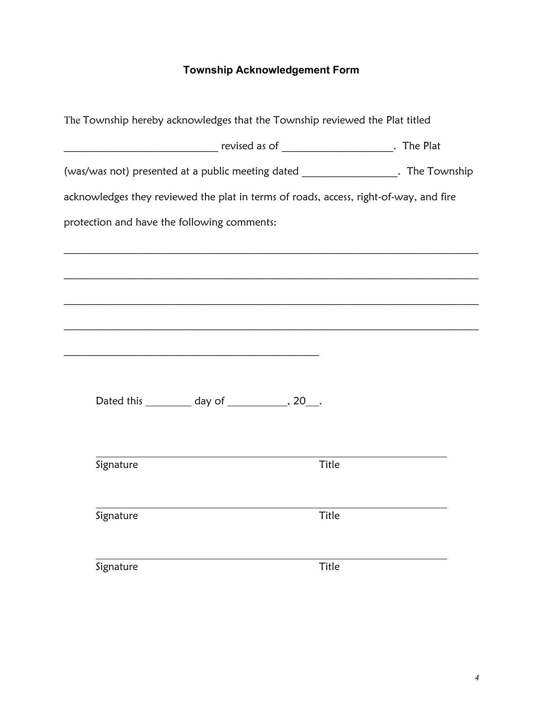### **Township Acknowledgement Form**

| The Township hereby acknowledges that the Township reviewed the Plat titled           |  |  |       |  |  |  |  |  |  |  |
|---------------------------------------------------------------------------------------|--|--|-------|--|--|--|--|--|--|--|
|                                                                                       |  |  |       |  |  |  |  |  |  |  |
| (was/was not) presented at a public meeting dated ____________________. The Township  |  |  |       |  |  |  |  |  |  |  |
| acknowledges they reviewed the plat in terms of roads, access, right-of-way, and fire |  |  |       |  |  |  |  |  |  |  |
| protection and have the following comments:                                           |  |  |       |  |  |  |  |  |  |  |
|                                                                                       |  |  |       |  |  |  |  |  |  |  |
|                                                                                       |  |  |       |  |  |  |  |  |  |  |
|                                                                                       |  |  |       |  |  |  |  |  |  |  |
|                                                                                       |  |  |       |  |  |  |  |  |  |  |
|                                                                                       |  |  |       |  |  |  |  |  |  |  |
| Dated this ___________ day of ______________, 20___.                                  |  |  |       |  |  |  |  |  |  |  |
|                                                                                       |  |  |       |  |  |  |  |  |  |  |
| Signature                                                                             |  |  | Title |  |  |  |  |  |  |  |
|                                                                                       |  |  |       |  |  |  |  |  |  |  |
| Signature                                                                             |  |  | Title |  |  |  |  |  |  |  |
|                                                                                       |  |  |       |  |  |  |  |  |  |  |
| Signature                                                                             |  |  | Title |  |  |  |  |  |  |  |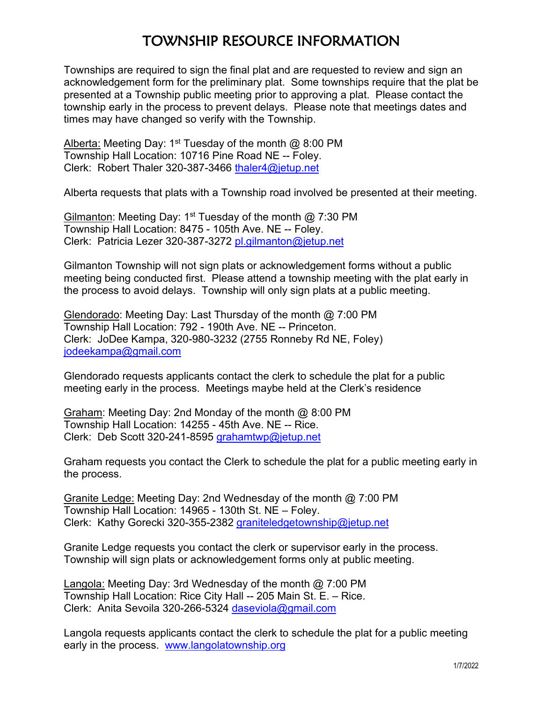## TOWNSHIP RESOURCE INFORMATION

Townships are required to sign the final plat and are requested to review and sign an acknowledgement form for the preliminary plat. Some townships require that the plat be presented at a Township public meeting prior to approving a plat. Please contact the township early in the process to prevent delays. Please note that meetings dates and times may have changed so verify with the Township.

Alberta: Meeting Day: 1<sup>st</sup> Tuesday of the month  $\omega$  8:00 PM Township Hall Location: 10716 Pine Road NE -- Foley. Clerk: Robert Thaler 320-387-3466 [thaler4@jetup.net](mailto:thaler4@jetup.net)

Alberta requests that plats with a Township road involved be presented at their meeting.

Gilmanton: Meeting Day: 1<sup>st</sup> Tuesday of the month  $\omega$  7:30 PM Township Hall Location: 8475 - 105th Ave. NE -- Foley. Clerk: Patricia Lezer 320-387-3272 [pl.gilmanton@jetup.net](mailto:pl.gilmanton@jetup.net)

Gilmanton Township will not sign plats or acknowledgement forms without a public meeting being conducted first. Please attend a township meeting with the plat early in the process to avoid delays. Township will only sign plats at a public meeting.

Glendorado: Meeting Day: Last Thursday of the month @ 7:00 PM Township Hall Location: 792 - 190th Ave. NE -- Princeton. Clerk: JoDee Kampa, 320-980-3232 (2755 Ronneby Rd NE, Foley) [jodeekampa@gmail.com](mailto:jodeekampa@gmail.com)

Glendorado requests applicants contact the clerk to schedule the plat for a public meeting early in the process. Meetings maybe held at the Clerk's residence

Graham: Meeting Day: 2nd Monday of the month @ 8:00 PM Township Hall Location: 14255 - 45th Ave. NE -- Rice. Clerk: Deb Scott 320-241-8595 [grahamtwp@jetup.net](mailto:grahamtwp@jetup.net)

Graham requests you contact the Clerk to schedule the plat for a public meeting early in the process.

Granite Ledge: Meeting Day: 2nd Wednesday of the month @ 7:00 PM Township Hall Location: 14965 - 130th St. NE – Foley. Clerk: Kathy Gorecki 320-355-2382 [graniteledgetownship@jetup.net](mailto:graniteledgetownship@jetup.net)

Granite Ledge requests you contact the clerk or supervisor early in the process. Township will sign plats or acknowledgement forms only at public meeting.

Langola: Meeting Day: 3rd Wednesday of the month @ 7:00 PM Township Hall Location: Rice City Hall -- 205 Main St. E. – Rice. Clerk: Anita Sevoila 320-266-5324 [daseviola@gmail.com](mailto:daseviola@gmail.com)

Langola requests applicants contact the clerk to schedule the plat for a public meeting early in the process. [www.langolatownship.org](http://www.langolatownship.org/)